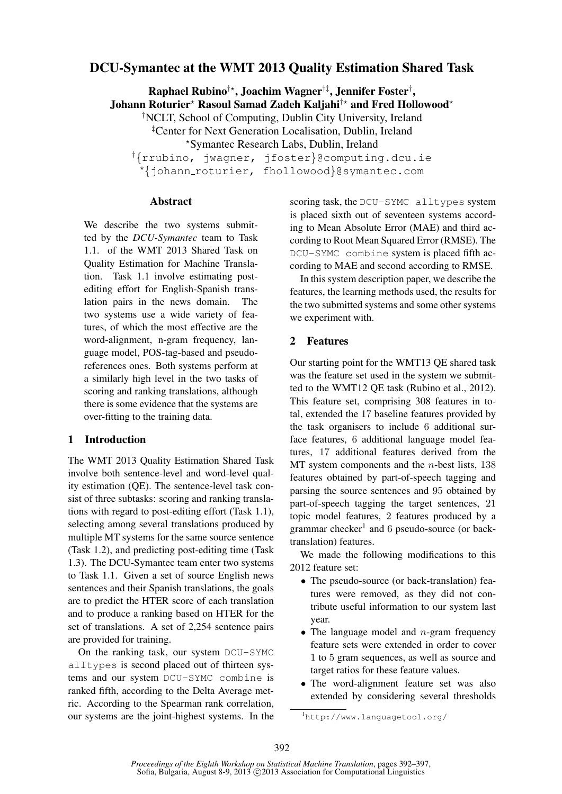# DCU-Symantec at the WMT 2013 Quality Estimation Shared Task

 ${\bf R}$ aphael  ${\bf R}$ ubino $^{\dagger\star}$ , Joachim Wagner $^{\dagger\ddagger}$ , Jennifer Foster $^{\dagger}$ , Johann Roturier\* Rasoul Samad Zadeh Kaljahi<sup>†\*</sup> and Fred Hollowood\* †NCLT, School of Computing, Dublin City University, Ireland ‡Center for Next Generation Localisation, Dublin, Ireland ?Symantec Research Labs, Dublin, Ireland †{rrubino, jwagner, jfoster}@computing.dcu.ie

?{johann roturier, fhollowood}@symantec.com

### Abstract

We describe the two systems submitted by the *DCU-Symantec* team to Task 1.1. of the WMT 2013 Shared Task on Quality Estimation for Machine Translation. Task 1.1 involve estimating postediting effort for English-Spanish translation pairs in the news domain. The two systems use a wide variety of features, of which the most effective are the word-alignment, n-gram frequency, language model, POS-tag-based and pseudoreferences ones. Both systems perform at a similarly high level in the two tasks of scoring and ranking translations, although there is some evidence that the systems are over-fitting to the training data.

# 1 Introduction

The WMT 2013 Quality Estimation Shared Task involve both sentence-level and word-level quality estimation (QE). The sentence-level task consist of three subtasks: scoring and ranking translations with regard to post-editing effort (Task 1.1), selecting among several translations produced by multiple MT systems for the same source sentence (Task 1.2), and predicting post-editing time (Task 1.3). The DCU-Symantec team enter two systems to Task 1.1. Given a set of source English news sentences and their Spanish translations, the goals are to predict the HTER score of each translation and to produce a ranking based on HTER for the set of translations. A set of 2,254 sentence pairs are provided for training.

On the ranking task, our system DCU-SYMC alltypes is second placed out of thirteen systems and our system DCU-SYMC combine is ranked fifth, according to the Delta Average metric. According to the Spearman rank correlation, our systems are the joint-highest systems. In the scoring task, the DCU-SYMC alltypes system is placed sixth out of seventeen systems according to Mean Absolute Error (MAE) and third according to Root Mean Squared Error (RMSE). The DCU-SYMC combine system is placed fifth according to MAE and second according to RMSE.

In this system description paper, we describe the features, the learning methods used, the results for the two submitted systems and some other systems we experiment with.

### 2 Features

Our starting point for the WMT13 QE shared task was the feature set used in the system we submitted to the WMT12 QE task (Rubino et al., 2012). This feature set, comprising 308 features in total, extended the 17 baseline features provided by the task organisers to include 6 additional surface features, 6 additional language model features, 17 additional features derived from the MT system components and the  $n$ -best lists, 138 features obtained by part-of-speech tagging and parsing the source sentences and 95 obtained by part-of-speech tagging the target sentences, 21 topic model features, 2 features produced by a grammar checker<sup>1</sup> and 6 pseudo-source (or backtranslation) features.

We made the following modifications to this 2012 feature set:

- The pseudo-source (or back-translation) features were removed, as they did not contribute useful information to our system last year.
- The language model and  $n$ -gram frequency feature sets were extended in order to cover 1 to 5 gram sequences, as well as source and target ratios for these feature values.
- The word-alignment feature set was also extended by considering several thresholds

<sup>1</sup>http://www.languagetool.org/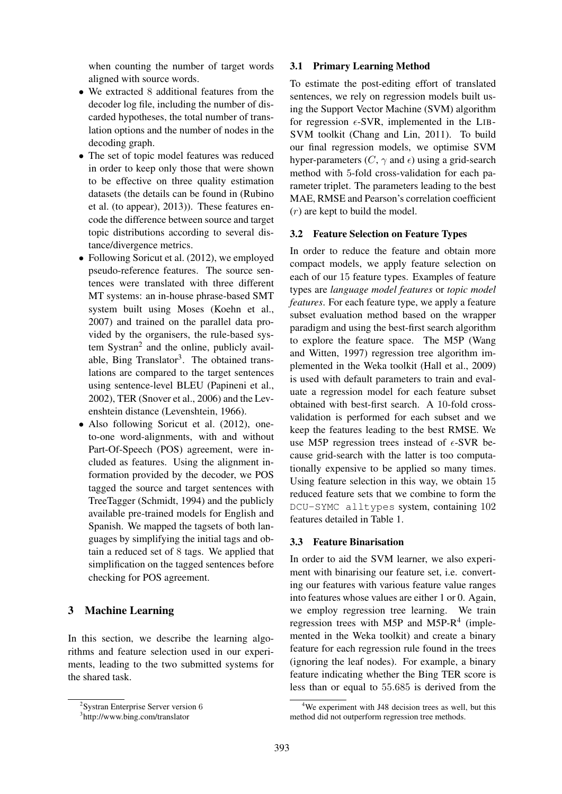when counting the number of target words aligned with source words.

- We extracted 8 additional features from the decoder log file, including the number of discarded hypotheses, the total number of translation options and the number of nodes in the decoding graph.
- The set of topic model features was reduced in order to keep only those that were shown to be effective on three quality estimation datasets (the details can be found in (Rubino et al. (to appear), 2013)). These features encode the difference between source and target topic distributions according to several distance/divergence metrics.
- Following Soricut et al. (2012), we employed pseudo-reference features. The source sentences were translated with three different MT systems: an in-house phrase-based SMT system built using Moses (Koehn et al., 2007) and trained on the parallel data provided by the organisers, the rule-based system Systran<sup>2</sup> and the online, publicly available, Bing Translator<sup>3</sup>. The obtained translations are compared to the target sentences using sentence-level BLEU (Papineni et al., 2002), TER (Snover et al., 2006) and the Levenshtein distance (Levenshtein, 1966).
- Also following Soricut et al. (2012), oneto-one word-alignments, with and without Part-Of-Speech (POS) agreement, were included as features. Using the alignment information provided by the decoder, we POS tagged the source and target sentences with TreeTagger (Schmidt, 1994) and the publicly available pre-trained models for English and Spanish. We mapped the tagsets of both languages by simplifying the initial tags and obtain a reduced set of 8 tags. We applied that simplification on the tagged sentences before checking for POS agreement.

### 3 Machine Learning

In this section, we describe the learning algorithms and feature selection used in our experiments, leading to the two submitted systems for the shared task.

# 3.1 Primary Learning Method

To estimate the post-editing effort of translated sentences, we rely on regression models built using the Support Vector Machine (SVM) algorithm for regression  $\epsilon$ -SVR, implemented in the LIB-SVM toolkit (Chang and Lin, 2011). To build our final regression models, we optimise SVM hyper-parameters ( $C$ ,  $\gamma$  and  $\epsilon$ ) using a grid-search method with 5-fold cross-validation for each parameter triplet. The parameters leading to the best MAE, RMSE and Pearson's correlation coefficient  $(r)$  are kept to build the model.

# 3.2 Feature Selection on Feature Types

In order to reduce the feature and obtain more compact models, we apply feature selection on each of our 15 feature types. Examples of feature types are *language model features* or *topic model features*. For each feature type, we apply a feature subset evaluation method based on the wrapper paradigm and using the best-first search algorithm to explore the feature space. The M5P (Wang and Witten, 1997) regression tree algorithm implemented in the Weka toolkit (Hall et al., 2009) is used with default parameters to train and evaluate a regression model for each feature subset obtained with best-first search. A 10-fold crossvalidation is performed for each subset and we keep the features leading to the best RMSE. We use M5P regression trees instead of  $\epsilon$ -SVR because grid-search with the latter is too computationally expensive to be applied so many times. Using feature selection in this way, we obtain 15 reduced feature sets that we combine to form the DCU-SYMC alltypes system, containing 102 features detailed in Table 1.

# 3.3 Feature Binarisation

In order to aid the SVM learner, we also experiment with binarising our feature set, i.e. converting our features with various feature value ranges into features whose values are either 1 or 0. Again, we employ regression tree learning. We train regression trees with M5P and M5P- $R<sup>4</sup>$  (implemented in the Weka toolkit) and create a binary feature for each regression rule found in the trees (ignoring the leaf nodes). For example, a binary feature indicating whether the Bing TER score is less than or equal to 55.685 is derived from the

<sup>&</sup>lt;sup>2</sup>Systran Enterprise Server version 6

<sup>3</sup> http://www.bing.com/translator

<sup>&</sup>lt;sup>4</sup>We experiment with J48 decision trees as well, but this method did not outperform regression tree methods.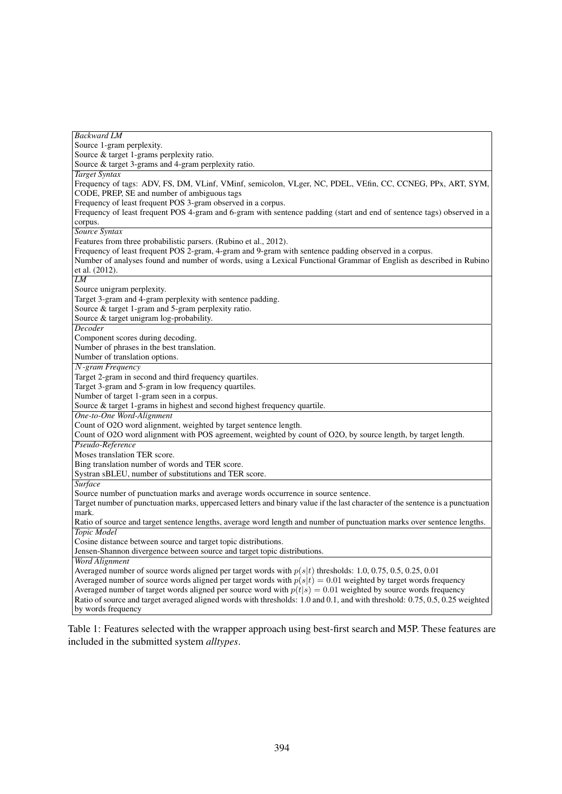| <b>Backward LM</b>                                                                                                                         |
|--------------------------------------------------------------------------------------------------------------------------------------------|
| Source 1-gram perplexity.                                                                                                                  |
| Source & target 1-grams perplexity ratio.                                                                                                  |
| Source & target 3-grams and 4-gram perplexity ratio.                                                                                       |
| <b>Target Syntax</b>                                                                                                                       |
| Frequency of tags: ADV, FS, DM, VLinf, VMinf, semicolon, VLger, NC, PDEL, VEfin, CC, CCNEG, PPx, ART, SYM,                                 |
| CODE, PREP, SE and number of ambiguous tags                                                                                                |
| Frequency of least frequent POS 3-gram observed in a corpus.                                                                               |
| Frequency of least frequent POS 4-gram and 6-gram with sentence padding (start and end of sentence tags) observed in a                     |
| corpus.                                                                                                                                    |
| Source Syntax                                                                                                                              |
| Features from three probabilistic parsers. (Rubino et al., 2012).                                                                          |
| Frequency of least frequent POS 2-gram, 4-gram and 9-gram with sentence padding observed in a corpus.                                      |
| Number of analyses found and number of words, using a Lexical Functional Grammar of English as described in Rubino                         |
| et al. (2012).                                                                                                                             |
| $\overline{LM}$                                                                                                                            |
| Source unigram perplexity.                                                                                                                 |
| Target 3-gram and 4-gram perplexity with sentence padding.                                                                                 |
| Source & target 1-gram and 5-gram perplexity ratio.                                                                                        |
| Source & target unigram log-probability.                                                                                                   |
| Decoder                                                                                                                                    |
| Component scores during decoding.                                                                                                          |
| Number of phrases in the best translation.                                                                                                 |
| Number of translation options.                                                                                                             |
| $N$ -gram Frequency                                                                                                                        |
| Target 2-gram in second and third frequency quartiles.                                                                                     |
| Target 3-gram and 5-gram in low frequency quartiles.                                                                                       |
| Number of target 1-gram seen in a corpus.                                                                                                  |
| Source & target 1-grams in highest and second highest frequency quartile.                                                                  |
| One-to-One Word-Alignment                                                                                                                  |
| Count of O2O word alignment, weighted by target sentence length.                                                                           |
| Count of O2O word alignment with POS agreement, weighted by count of O2O, by source length, by target length.                              |
| Pseudo-Reference                                                                                                                           |
| Moses translation TER score.                                                                                                               |
| Bing translation number of words and TER score.                                                                                            |
| Systran sBLEU, number of substitutions and TER score.                                                                                      |
| Surface                                                                                                                                    |
|                                                                                                                                            |
| Source number of punctuation marks and average words occurrence in source sentence.                                                        |
| Target number of punctuation marks, uppercased letters and binary value if the last character of the sentence is a punctuation<br>mark.    |
| Ratio of source and target sentence lengths, average word length and number of punctuation marks over sentence lengths.                    |
| Topic Model                                                                                                                                |
|                                                                                                                                            |
| Cosine distance between source and target topic distributions.<br>Jensen-Shannon divergence between source and target topic distributions. |
| <b>Word Alignment</b>                                                                                                                      |
|                                                                                                                                            |
| Averaged number of source words aligned per target words with $p(s t)$ thresholds: 1.0, 0.75, 0.5, 0.25, 0.01                              |
| Averaged number of source words aligned per target words with $p(s t) = 0.01$ weighted by target words frequency                           |
| Averaged number of target words aligned per source word with $p(t s) = 0.01$ weighted by source words frequency                            |
| Ratio of source and target averaged aligned words with thresholds: 1.0 and 0.1, and with threshold: 0.75, 0.5, 0.25 weighted               |
| by words frequency                                                                                                                         |

Table 1: Features selected with the wrapper approach using best-first search and M5P. These features are included in the submitted system *alltypes*.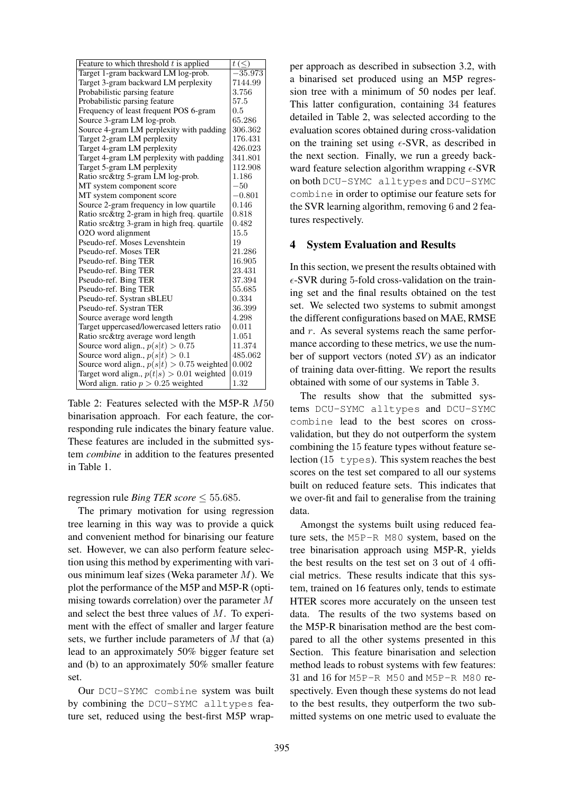| Feature to which threshold $t$ is applied    | $t\leq$   |
|----------------------------------------------|-----------|
| Target 1-gram backward LM log-prob.          | $-35.973$ |
| Target 3-gram backward LM perplexity         | 7144.99   |
| Probabilistic parsing feature                | 3.756     |
| Probabilistic parsing feature                | 57.5      |
| Frequency of least frequent POS 6-gram       | 0.5       |
| Source 3-gram LM log-prob.                   | 65.286    |
| Source 4-gram LM perplexity with padding     | 306.362   |
| Target 2-gram LM perplexity                  | 176.431   |
| Target 4-gram LM perplexity                  | 426.023   |
| Target 4-gram LM perplexity with padding     | 341.801   |
| Target 5-gram LM perplexity                  | 112.908   |
| Ratio src&trg 5-gram LM log-prob.            | 1.186     |
| MT system component score                    | $-50$     |
| MT system component score                    | $-0.801$  |
| Source 2-gram frequency in low quartile      | 0.146     |
| Ratio src&trg 2-gram in high freq. quartile  | 0.818     |
| Ratio src&trg 3-gram in high freq. quartile  | 0.482     |
| O2O word alignment                           | 15.5      |
| Pseudo-ref. Moses Levenshtein                | 19        |
| Pseudo-ref. Moses TER                        | 21.286    |
| Pseudo-ref. Bing TER                         | 16.905    |
| Pseudo-ref. Bing TER                         | 23.431    |
| Pseudo-ref. Bing TER                         | 37.394    |
| Pseudo-ref. Bing TER                         | 55.685    |
| Pseudo-ref. Systran sBLEU                    | 0.334     |
| Pseudo-ref. Systran TER                      | 36.399    |
| Source average word length                   | 4.298     |
| Target uppercased/lowercased letters ratio   | 0.011     |
| Ratio src&trg average word length            | 1.051     |
| Source word align., $p(s t) > 0.75$          | 11.374    |
| Source word align., $p(s t) > 0.1$           | 485.062   |
| Source word align., $p(s t) > 0.75$ weighted | 0.002     |
| Target word align., $p(t s) > 0.01$ weighted | 0.019     |
| Word align. ratio $p > 0.25$ weighted        | 1.32      |

Table 2: Features selected with the M5P-R M50 binarisation approach. For each feature, the corresponding rule indicates the binary feature value. These features are included in the submitted system *combine* in addition to the features presented in Table 1.

### regression rule *Bing TER score*  $\leq 55.685$ .

The primary motivation for using regression tree learning in this way was to provide a quick and convenient method for binarising our feature set. However, we can also perform feature selection using this method by experimenting with various minimum leaf sizes (Weka parameter  $M$ ). We plot the performance of the M5P and M5P-R (optimising towards correlation) over the parameter M and select the best three values of M. To experiment with the effect of smaller and larger feature sets, we further include parameters of  $M$  that (a) lead to an approximately 50% bigger feature set and (b) to an approximately 50% smaller feature set.

Our DCU-SYMC combine system was built by combining the DCU-SYMC alltypes feature set, reduced using the best-first M5P wrapper approach as described in subsection 3.2, with a binarised set produced using an M5P regression tree with a minimum of 50 nodes per leaf. This latter configuration, containing 34 features detailed in Table 2, was selected according to the evaluation scores obtained during cross-validation on the training set using  $\epsilon$ -SVR, as described in the next section. Finally, we run a greedy backward feature selection algorithm wrapping  $\epsilon$ -SVR on both DCU-SYMC alltypes and DCU-SYMC combine in order to optimise our feature sets for the SVR learning algorithm, removing 6 and 2 features respectively.

#### 4 System Evaluation and Results

In this section, we present the results obtained with  $\epsilon$ -SVR during 5-fold cross-validation on the training set and the final results obtained on the test set. We selected two systems to submit amongst the different configurations based on MAE, RMSE and r. As several systems reach the same performance according to these metrics, we use the number of support vectors (noted *SV*) as an indicator of training data over-fitting. We report the results obtained with some of our systems in Table 3.

The results show that the submitted systems DCU-SYMC alltypes and DCU-SYMC combine lead to the best scores on crossvalidation, but they do not outperform the system combining the 15 feature types without feature selection  $(15 \t{types})$ . This system reaches the best scores on the test set compared to all our systems built on reduced feature sets. This indicates that we over-fit and fail to generalise from the training data.

Amongst the systems built using reduced feature sets, the M5P-R M80 system, based on the tree binarisation approach using M5P-R, yields the best results on the test set on 3 out of 4 official metrics. These results indicate that this system, trained on 16 features only, tends to estimate HTER scores more accurately on the unseen test data. The results of the two systems based on the M5P-R binarisation method are the best compared to all the other systems presented in this Section. This feature binarisation and selection method leads to robust systems with few features: 31 and 16 for M5P-R M50 and M5P-R M80 respectively. Even though these systems do not lead to the best results, they outperform the two submitted systems on one metric used to evaluate the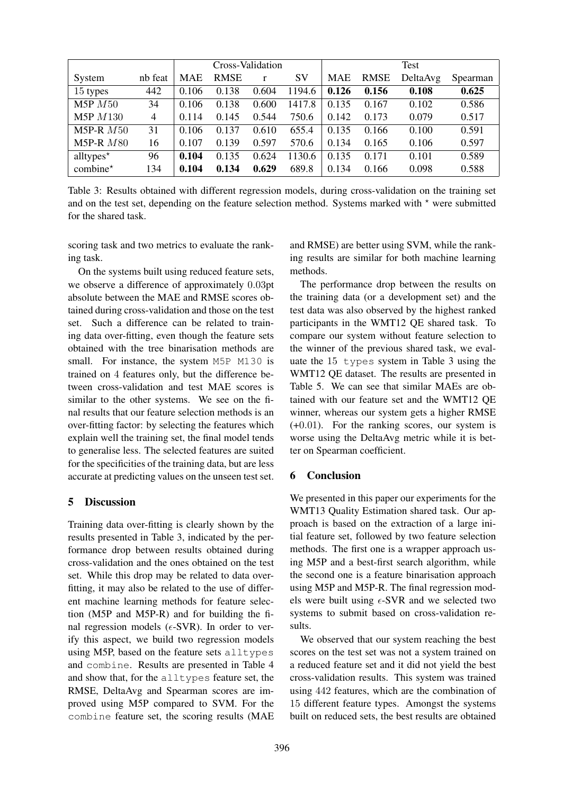|                         |                | Cross-Validation |             |       |           | Test  |             |          |          |
|-------------------------|----------------|------------------|-------------|-------|-----------|-------|-------------|----------|----------|
| System                  | nb feat        | <b>MAE</b>       | <b>RMSE</b> | r     | <b>SV</b> | MAE   | <b>RMSE</b> | DeltaAvg | Spearman |
| 15 types                | 442            | 0.106            | 0.138       | 0.604 | 1194.6    | 0.126 | 0.156       | 0.108    | 0.625    |
| M5P M50                 | 34             | 0.106            | 0.138       | 0.600 | 1417.8    | 0.135 | 0.167       | 0.102    | 0.586    |
| <b>M5P</b> <i>M</i> 130 | $\overline{4}$ | 0.114            | 0.145       | 0.544 | 750.6     | 0.142 | 0.173       | 0.079    | 0.517    |
| M5P-R $M50$             | 31             | 0.106            | 0.137       | 0.610 | 655.4     | 0.135 | 0.166       | 0.100    | 0.591    |
| M5P-R $M80$             | 16             | 0.107            | 0.139       | 0.597 | 570.6     | 0.134 | 0.165       | 0.106    | 0.597    |
| alltypes $*$            | 96             | 0.104            | 0.135       | 0.624 | 1130.6    | 0.135 | 0.171       | 0.101    | 0.589    |
| combine*                | 134            | 0.104            | 0.134       | 0.629 | 689.8     | 0.134 | 0.166       | 0.098    | 0.588    |

Table 3: Results obtained with different regression models, during cross-validation on the training set and on the test set, depending on the feature selection method. Systems marked with  $*$  were submitted for the shared task.

scoring task and two metrics to evaluate the ranking task.

On the systems built using reduced feature sets, we observe a difference of approximately 0.03pt absolute between the MAE and RMSE scores obtained during cross-validation and those on the test set. Such a difference can be related to training data over-fitting, even though the feature sets obtained with the tree binarisation methods are small. For instance, the system M5P M130 is trained on 4 features only, but the difference between cross-validation and test MAE scores is similar to the other systems. We see on the final results that our feature selection methods is an over-fitting factor: by selecting the features which explain well the training set, the final model tends to generalise less. The selected features are suited for the specificities of the training data, but are less accurate at predicting values on the unseen test set.

# 5 Discussion

Training data over-fitting is clearly shown by the results presented in Table 3, indicated by the performance drop between results obtained during cross-validation and the ones obtained on the test set. While this drop may be related to data overfitting, it may also be related to the use of different machine learning methods for feature selection (M5P and M5P-R) and for building the final regression models ( $\epsilon$ -SVR). In order to verify this aspect, we build two regression models using M5P, based on the feature sets alltypes and combine. Results are presented in Table 4 and show that, for the alltypes feature set, the RMSE, DeltaAvg and Spearman scores are improved using M5P compared to SVM. For the combine feature set, the scoring results (MAE and RMSE) are better using SVM, while the ranking results are similar for both machine learning methods.

The performance drop between the results on the training data (or a development set) and the test data was also observed by the highest ranked participants in the WMT12 QE shared task. To compare our system without feature selection to the winner of the previous shared task, we evaluate the 15 types system in Table 3 using the WMT12 QE dataset. The results are presented in Table 5. We can see that similar MAEs are obtained with our feature set and the WMT12 QE winner, whereas our system gets a higher RMSE (+0.01). For the ranking scores, our system is worse using the DeltaAvg metric while it is better on Spearman coefficient.

# 6 Conclusion

We presented in this paper our experiments for the WMT13 Quality Estimation shared task. Our approach is based on the extraction of a large initial feature set, followed by two feature selection methods. The first one is a wrapper approach using M5P and a best-first search algorithm, while the second one is a feature binarisation approach using M5P and M5P-R. The final regression models were built using  $\epsilon$ -SVR and we selected two systems to submit based on cross-validation results.

We observed that our system reaching the best scores on the test set was not a system trained on a reduced feature set and it did not yield the best cross-validation results. This system was trained using 442 features, which are the combination of 15 different feature types. Amongst the systems built on reduced sets, the best results are obtained